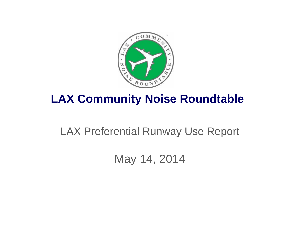

### **LAX Community Noise Roundtable**

### LAX Preferential Runway Use Report

May 14, 2014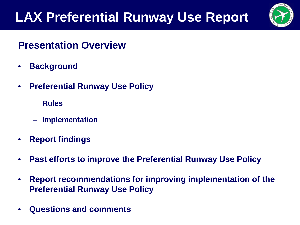

#### **Presentation Overview**

- **Background**
- **Preferential Runway Use Policy**
	- **Rules**
	- **Implementation**
- **Report findings**
- **Past efforts to improve the Preferential Runway Use Policy**
- **Report recommendations for improving implementation of the Preferential Runway Use Policy**
- **Questions and comments**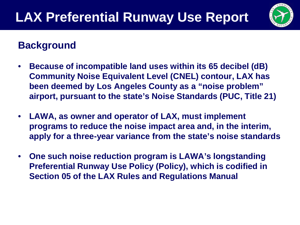

#### **Background**

- **Because of incompatible land uses within its 65 decibel (dB) Community Noise Equivalent Level (CNEL) contour, LAX has been deemed by Los Angeles County as a "noise problem" airport, pursuant to the state's Noise Standards (PUC, Title 21)**
- **LAWA, as owner and operator of LAX, must implement programs to reduce the noise impact area and, in the interim, apply for a three-year variance from the state's noise standards**
- **One such noise reduction program is LAWA's longstanding Preferential Runway Use Policy (Policy), which is codified in Section 05 of the LAX Rules and Regulations Manual**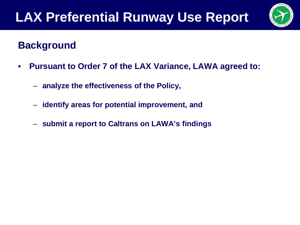

#### **Background**

- **Pursuant to Order 7 of the LAX Variance, LAWA agreed to:**
	- **analyze the effectiveness of the Policy,**
	- **identify areas for potential improvement, and**
	- **submit a report to Caltrans on LAWA's findings**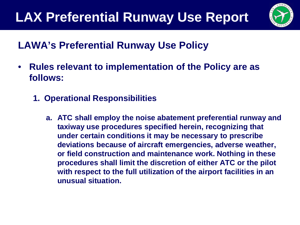

### **LAWA's Preferential Runway Use Policy**

- **Rules relevant to implementation of the Policy are as follows:**
	- **1. Operational Responsibilities**
		- **a. ATC shall employ the noise abatement preferential runway and taxiway use procedures specified herein, recognizing that under certain conditions it may be necessary to prescribe deviations because of aircraft emergencies, adverse weather, or field construction and maintenance work. Nothing in these procedures shall limit the discretion of either ATC or the pilot with respect to the full utilization of the airport facilities in an unusual situation.**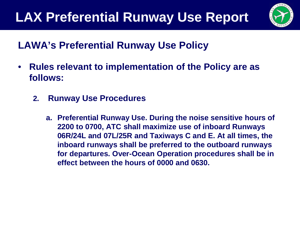

### **LAWA's Preferential Runway Use Policy**

- **Rules relevant to implementation of the Policy are as follows:**
	- **2. Runway Use Procedures**
		- **a. Preferential Runway Use. During the noise sensitive hours of 2200 to 0700, ATC shall maximize use of inboard Runways 06R/24L and 07L/25R and Taxiways C and E. At all times, the inboard runways shall be preferred to the outboard runways for departures. Over-Ocean Operation procedures shall be in effect between the hours of 0000 and 0630.**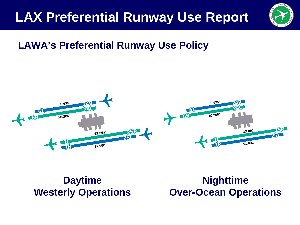

#### **LAWA's Preferential Runway Use Policy**



**Daytime Westerly Operations**

**Nighttime Over-Ocean Operations**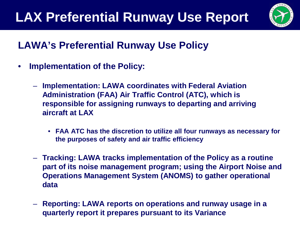

### **LAWA's Preferential Runway Use Policy**

- **Implementation of the Policy:**
	- **Implementation: LAWA coordinates with Federal Aviation Administration (FAA) Air Traffic Control (ATC), which is responsible for assigning runways to departing and arriving aircraft at LAX**
		- **FAA ATC has the discretion to utilize all four runways as necessary for the purposes of safety and air traffic efficiency**
	- **Tracking: LAWA tracks implementation of the Policy as a routine part of its noise management program; using the Airport Noise and Operations Management System (ANOMS) to gather operational data**
	- **Reporting: LAWA reports on operations and runway usage in a quarterly report it prepares pursuant to its Variance**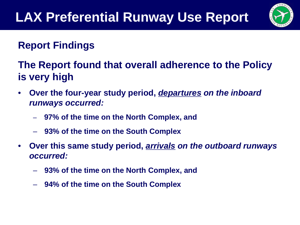

### **The Report found that overall adherence to the Policy is very high**

- **Over the four-year study period,** *departures on the inboard runways occurred:*
	- **97% of the time on the North Complex, and**
	- **93% of the time on the South Complex**
- **Over this same study period,** *arrivals on the outboard runways occurred:*
	- **93% of the time on the North Complex, and**
	- **94% of the time on the South Complex**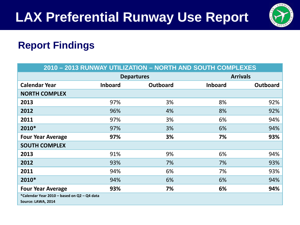

| 2010 - 2013 RUNWAY UTILIZATION - NORTH AND SOUTH COMPLEXES        |                   |                 |                 |                 |  |  |  |
|-------------------------------------------------------------------|-------------------|-----------------|-----------------|-----------------|--|--|--|
|                                                                   | <b>Departures</b> |                 | <b>Arrivals</b> |                 |  |  |  |
| <b>Calendar Year</b>                                              | <b>Inboard</b>    | <b>Outboard</b> | <b>Inboard</b>  | <b>Outboard</b> |  |  |  |
| <b>NORTH COMPLEX</b>                                              |                   |                 |                 |                 |  |  |  |
| 2013                                                              | 97%               | 3%              | 8%              | 92%             |  |  |  |
| 2012                                                              | 96%               | 4%              | 8%              | 92%             |  |  |  |
| 2011                                                              | 97%               | 3%              | 6%              | 94%             |  |  |  |
| 2010*                                                             | 97%               | 3%              | 6%              | 94%             |  |  |  |
| <b>Four Year Average</b>                                          | 97%               | 3%              | 7%              | 93%             |  |  |  |
| <b>SOUTH COMPLEX</b>                                              |                   |                 |                 |                 |  |  |  |
| 2013                                                              | 91%               | 9%              | 6%              | 94%             |  |  |  |
| 2012                                                              | 93%               | 7%              | 7%              | 93%             |  |  |  |
| 2011                                                              | 94%               | 6%              | 7%              | 93%             |  |  |  |
| 2010*                                                             | 94%               | 6%              | 6%              | 94%             |  |  |  |
| <b>Four Year Average</b>                                          | 93%               | 7%              | 6%              | 94%             |  |  |  |
| *Calendar Year 2010 - based on Q2 - Q4 data<br>Source: LAWA, 2014 |                   |                 |                 |                 |  |  |  |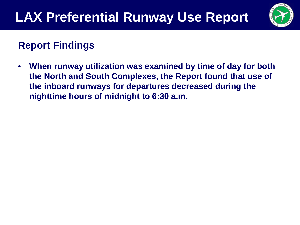

• **When runway utilization was examined by time of day for both the North and South Complexes, the Report found that use of the inboard runways for departures decreased during the nighttime hours of midnight to 6:30 a.m.**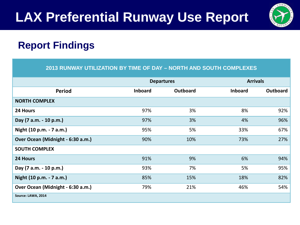

|                                   |                | <b>Departures</b> | <b>Arrivals</b> |                 |
|-----------------------------------|----------------|-------------------|-----------------|-----------------|
| <b>Period</b>                     | <b>Inboard</b> | <b>Outboard</b>   | <b>Inboard</b>  | <b>Outboard</b> |
| <b>NORTH COMPLEX</b>              |                |                   |                 |                 |
| 24 Hours                          | 97%            | 3%                | 8%              | 92%             |
| Day (7 a.m. - 10 p.m.)            | 97%            | 3%                | 4%              | 96%             |
| Night (10 p.m. - 7 a.m.)          | 95%            | 5%                | 33%             | 67%             |
| Over Ocean (Midnight - 6:30 a.m.) | 90%            | 10%               | 73%             | 27%             |
| <b>SOUTH COMPLEX</b>              |                |                   |                 |                 |
| 24 Hours                          | 91%            | 9%                | 6%              | 94%             |
| Day (7 a.m. - 10 p.m.)            | 93%            | 7%                | 5%              | 95%             |
| Night (10 p.m. - 7 a.m.)          | 85%            | 15%               | 18%             | 82%             |
| Over Ocean (Midnight - 6:30 a.m.) | 79%            | 21%               | 46%             | 54%             |
| Source: LAWA, 2014                |                |                   |                 |                 |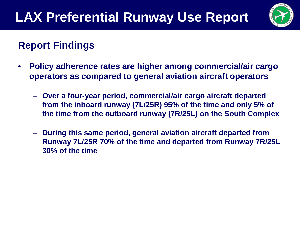

- **Policy adherence rates are higher among commercial/air cargo operators as compared to general aviation aircraft operators**
	- **Over a four-year period, commercial/air cargo aircraft departed from the inboard runway (7L/25R) 95% of the time and only 5% of the time from the outboard runway (7R/25L) on the South Complex**
	- **During this same period, general aviation aircraft departed from Runway 7L/25R 70% of the time and departed from Runway 7R/25L 30% of the time**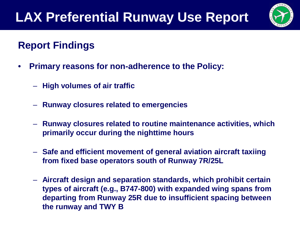

- **Primary reasons for non-adherence to the Policy:**
	- **High volumes of air traffic**
	- **Runway closures related to emergencies**
	- **Runway closures related to routine maintenance activities, which primarily occur during the nighttime hours**
	- **Safe and efficient movement of general aviation aircraft taxiing from fixed base operators south of Runway 7R/25L**
	- **Aircraft design and separation standards, which prohibit certain types of aircraft (e.g., B747-800) with expanded wing spans from departing from Runway 25R due to insufficient spacing between the runway and TWY B**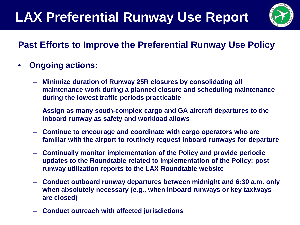

#### **Past Efforts to Improve the Preferential Runway Use Policy**

- **Ongoing actions:**
	- **Minimize duration of Runway 25R closures by consolidating all maintenance work during a planned closure and scheduling maintenance during the lowest traffic periods practicable**
	- **Assign as many south-complex cargo and GA aircraft departures to the inboard runway as safety and workload allows**
	- **Continue to encourage and coordinate with cargo operators who are familiar with the airport to routinely request inboard runways for departure**
	- **Continually monitor implementation of the Policy and provide periodic updates to the Roundtable related to implementation of the Policy; post runway utilization reports to the LAX Roundtable website**
	- **Conduct outboard runway departures between midnight and 6:30 a.m. only when absolutely necessary (e.g., when inboard runways or key taxiways are closed)**
	- **Conduct outreach with affected jurisdictions**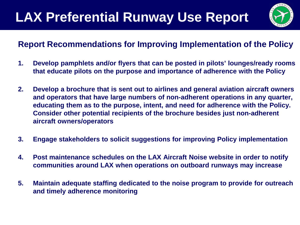

#### **Report Recommendations for Improving Implementation of the Policy**

- **1. Develop pamphlets and/or flyers that can be posted in pilots' lounges/ready rooms that educate pilots on the purpose and importance of adherence with the Policy**
- **2. Develop a brochure that is sent out to airlines and general aviation aircraft owners and operators that have large numbers of non-adherent operations in any quarter, educating them as to the purpose, intent, and need for adherence with the Policy. Consider other potential recipients of the brochure besides just non-adherent aircraft owners/operators**
- **3. Engage stakeholders to solicit suggestions for improving Policy implementation**
- **4. Post maintenance schedules on the LAX Aircraft Noise website in order to notify communities around LAX when operations on outboard runways may increase**
- **5. Maintain adequate staffing dedicated to the noise program to provide for outreach and timely adherence monitoring**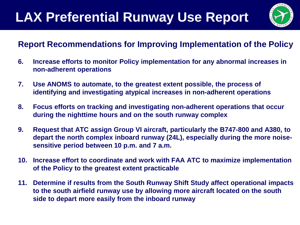

#### **Report Recommendations for Improving Implementation of the Policy**

- **6. Increase efforts to monitor Policy implementation for any abnormal increases in non-adherent operations**
- **7. Use ANOMS to automate, to the greatest extent possible, the process of identifying and investigating atypical increases in non-adherent operations**
- **8. Focus efforts on tracking and investigating non-adherent operations that occur during the nighttime hours and on the south runway complex**
- **9. Request that ATC assign Group VI aircraft, particularly the B747-800 and A380, to depart the north complex inboard runway (24L), especially during the more noisesensitive period between 10 p.m. and 7 a.m.**
- **10. Increase effort to coordinate and work with FAA ATC to maximize implementation of the Policy to the greatest extent practicable**
- **11. Determine if results from the South Runway Shift Study affect operational impacts to the south airfield runway use by allowing more aircraft located on the south side to depart more easily from the inboard runway**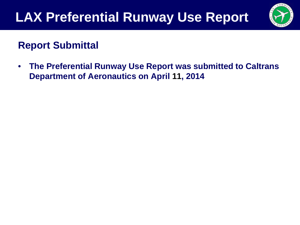

#### **Report Submittal**

• **The Preferential Runway Use Report was submitted to Caltrans Department of Aeronautics on April 11, 2014**